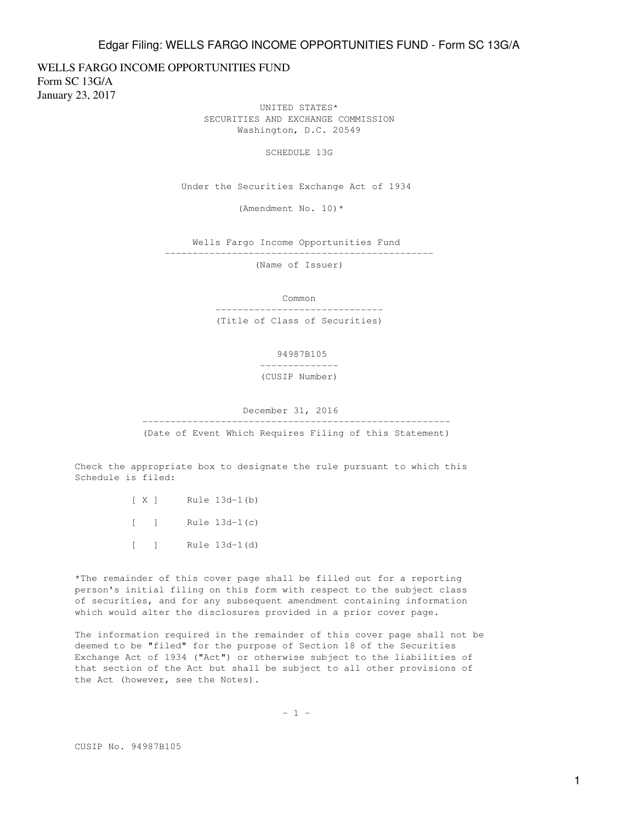WELLS FARGO INCOME OPPORTUNITIES FUND Form SC 13G/A January 23, 2017

> UNITED STATES\* SECURITIES AND EXCHANGE COMMISSION Washington, D.C. 20549

> > SCHEDULE 13G

Under the Securities Exchange Act of 1934

(Amendment No. 10)\*

 Wells Fargo Income Opportunities Fund ------------------------------------------------

(Name of Issuer)

 Common ------------------------------

(Title of Class of Securities)

94987B105

--------------

(CUSIP Number)

December 31, 2016

-------------------------------------------------------

(Date of Event Which Requires Filing of this Statement)

Check the appropriate box to designate the rule pursuant to which this Schedule is filed:

- [ X ] Rule 13d-1(b)
- [ ] Rule  $13d-1(c)$
- [ ] Rule 13d-1(d)

\*The remainder of this cover page shall be filled out for a reporting person's initial filing on this form with respect to the subject class of securities, and for any subsequent amendment containing information which would alter the disclosures provided in a prior cover page.

The information required in the remainder of this cover page shall not be deemed to be "filed" for the purpose of Section 18 of the Securities Exchange Act of 1934 ("Act") or otherwise subject to the liabilities of that section of the Act but shall be subject to all other provisions of the Act (however, see the Notes).

 $- 1 -$ 

CUSIP No. 94987B105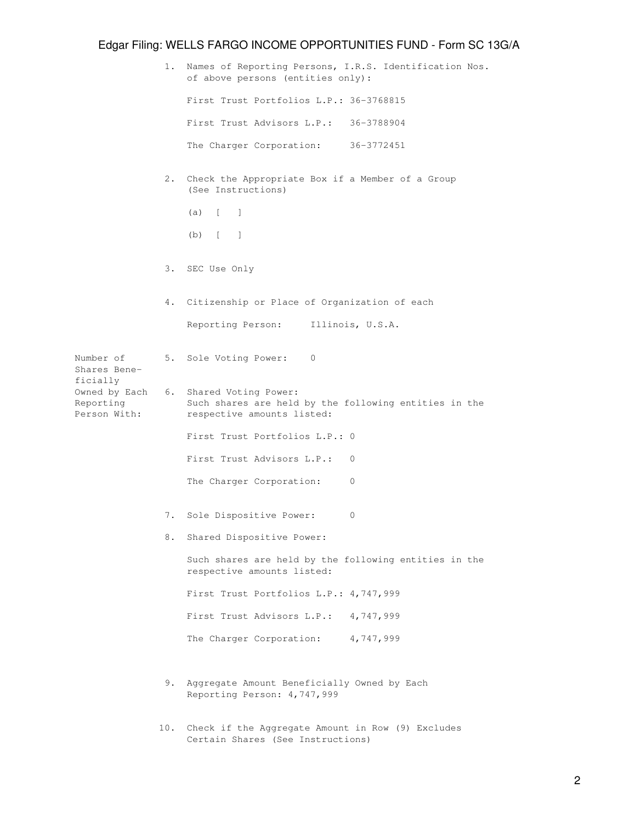|                                                                                     | 1. | Names of Reporting Persons, I.R.S. Identification Nos.<br>of above persons (entities only):                    |
|-------------------------------------------------------------------------------------|----|----------------------------------------------------------------------------------------------------------------|
|                                                                                     |    | First Trust Portfolios L.P.: 36-3768815                                                                        |
|                                                                                     |    | First Trust Advisors L.P.: 36-3788904                                                                          |
|                                                                                     |    | The Charger Corporation: 36-3772451                                                                            |
|                                                                                     | 2. | Check the Appropriate Box if a Member of a Group<br>(See Instructions)                                         |
|                                                                                     |    | $(a)$ $\begin{bmatrix} 1 \end{bmatrix}$                                                                        |
|                                                                                     |    | $(b)$ $\begin{bmatrix} 1 \end{bmatrix}$                                                                        |
|                                                                                     |    | 3. SEC Use Only                                                                                                |
|                                                                                     | 4. | Citizenship or Place of Organization of each                                                                   |
|                                                                                     |    | Reporting Person: Illinois, U.S.A.                                                                             |
| Number of<br>Shares Bene-<br>ficially<br>Owned by Each<br>Reporting<br>Person With: |    | 5. Sole Voting Power: 0                                                                                        |
|                                                                                     |    | 6. Shared Voting Power:<br>Such shares are held by the following entities in the<br>respective amounts listed: |
|                                                                                     |    | First Trust Portfolios L.P.: 0                                                                                 |
|                                                                                     |    | First Trust Advisors L.P.:<br>0                                                                                |
|                                                                                     |    | The Charger Corporation:<br>$\mathbf{0}$                                                                       |
|                                                                                     | 7. | Sole Dispositive Power:<br>0                                                                                   |
|                                                                                     | 8. | Shared Dispositive Power:                                                                                      |
|                                                                                     |    | Such shares are held by the following entities in the<br>respective amounts listed:                            |
|                                                                                     |    | First Trust Portfolios L.P.: 4,747,999                                                                         |
|                                                                                     |    | First Trust Advisors L.P.: 4,747,999                                                                           |
|                                                                                     |    | The Charger Corporation: 4,747,999                                                                             |
|                                                                                     | 9. | Aggregate Amount Beneficially Owned by Each<br>Reporting Person: 4,747,999                                     |

 10. Check if the Aggregate Amount in Row (9) Excludes Certain Shares (See Instructions)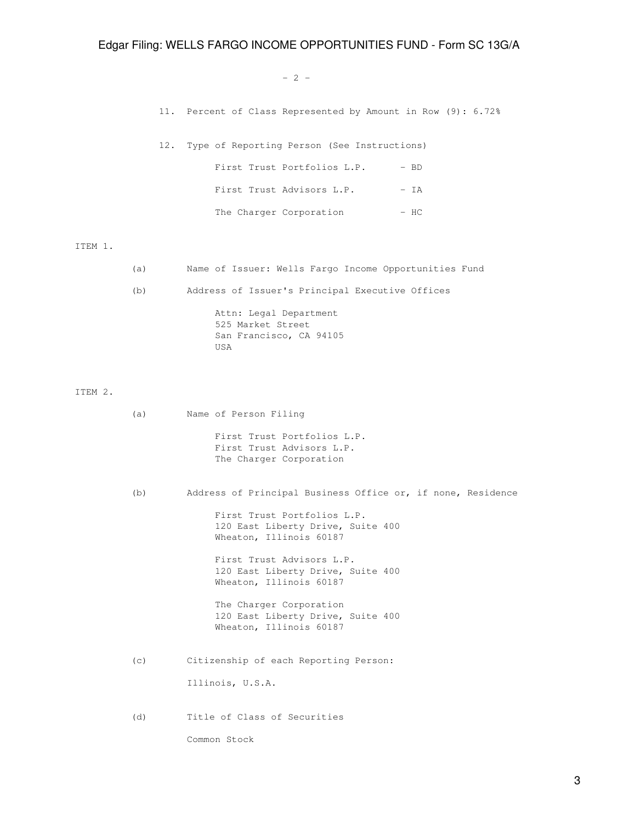#### $-2$  -

11. Percent of Class Represented by Amount in Row (9): 6.72%

| 12. Type of Reporting Person (See Instructions) |        |
|-------------------------------------------------|--------|
| First Trust Portfolios L.P.                     | $-$ BD |
| First Trust Advisors L.P.                       | - TA   |
| The Charger Corporation                         | – HC   |

ITEM 1.

- (a) Name of Issuer: Wells Fargo Income Opportunities Fund
- (b) Address of Issuer's Principal Executive Offices

 Attn: Legal Department 525 Market Street San Francisco, CA 94105 USA

ITEM 2.

 (a) Name of Person Filing First Trust Portfolios L.P. First Trust Advisors L.P. The Charger Corporation (b) Address of Principal Business Office or, if none, Residence First Trust Portfolios L.P. 120 East Liberty Drive, Suite 400 Wheaton, Illinois 60187 First Trust Advisors L.P. 120 East Liberty Drive, Suite 400 Wheaton, Illinois 60187 The Charger Corporation 120 East Liberty Drive, Suite 400 Wheaton, Illinois 60187 (c) Citizenship of each Reporting Person: Illinois, U.S.A. (d) Title of Class of Securities Common Stock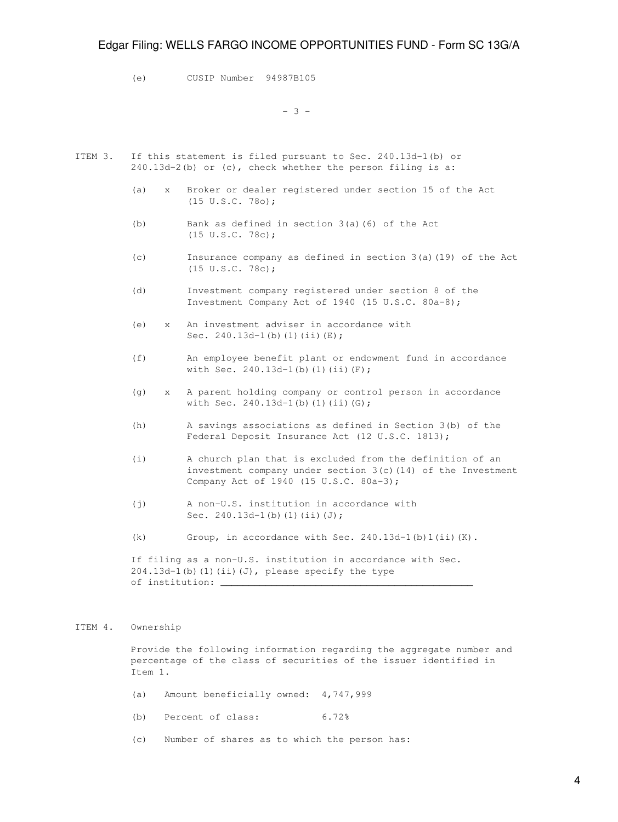(e) CUSIP Number 94987B105

 $-3 -$ 

- ITEM 3. If this statement is filed pursuant to Sec. 240.13d-1(b) or 240.13d-2(b) or (c), check whether the person filing is a:
	- (a) x Broker or dealer registered under section 15 of the Act (15 U.S.C. 78o);
	- (b) Bank as defined in section 3(a)(6) of the Act (15 U.S.C. 78c);
	- (c) Insurance company as defined in section 3(a)(19) of the Act (15 U.S.C. 78c);
	- (d) Investment company registered under section 8 of the Investment Company Act of 1940 (15 U.S.C. 80a-8);
	- (e) x An investment adviser in accordance with Sec.  $240.13d-1(b)(1)(ii)(E);$
	- (f) An employee benefit plant or endowment fund in accordance with Sec. 240.13d-1(b)(1)(ii)(F);
	- (g) x A parent holding company or control person in accordance with Sec.  $240.13d-1(b)$  (1)(ii)(G);
	- (h) A savings associations as defined in Section 3(b) of the Federal Deposit Insurance Act (12 U.S.C. 1813);
	- (i) A church plan that is excluded from the definition of an investment company under section 3(c)(14) of the Investment Company Act of 1940 (15 U.S.C. 80a-3);
	- (j) A non-U.S. institution in accordance with Sec.  $240.13d-1(b)(1)(ii)(J);$
	- (k) Group, in accordance with Sec.  $240.13d-1$  (b)  $1(ii)$  (K).

 If filing as a non-U.S. institution in accordance with Sec.  $204.13d-1$ (b)(1)(ii)(J), please specify the type of institution:  $\__$ 

#### ITEM 4. Ownership

 Provide the following information regarding the aggregate number and percentage of the class of securities of the issuer identified in Item 1.

- (a) Amount beneficially owned: 4,747,999
- (b) Percent of class: 6.72%
- (c) Number of shares as to which the person has: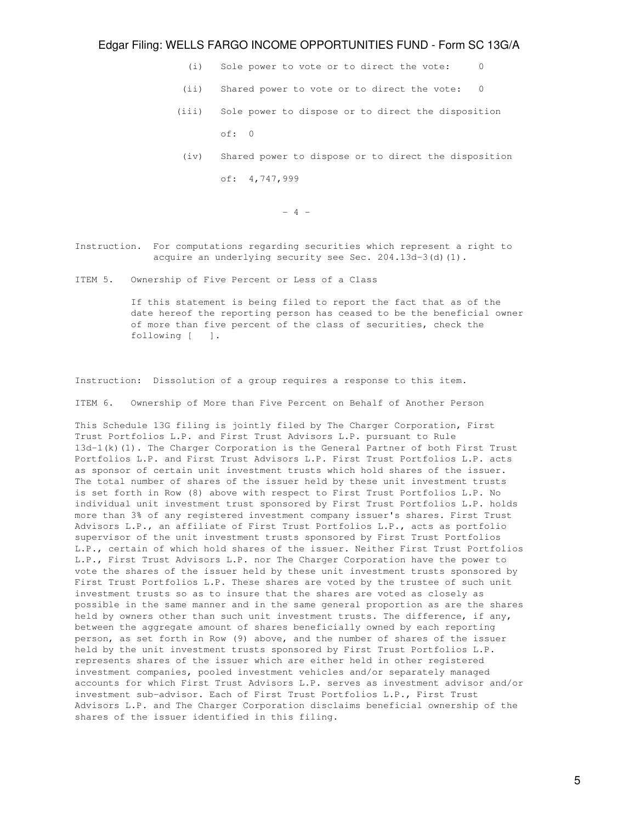- (i) Sole power to vote or to direct the vote: 0
- (ii) Shared power to vote or to direct the vote: 0
- (iii) Sole power to dispose or to direct the disposition of: 0
- (iv) Shared power to dispose or to direct the disposition of: 4,747,999

- 4 -

- Instruction. For computations regarding securities which represent a right to acquire an underlying security see Sec. 204.13d-3(d)(1).
- ITEM 5. Ownership of Five Percent or Less of a Class

 If this statement is being filed to report the fact that as of the date hereof the reporting person has ceased to be the beneficial owner of more than five percent of the class of securities, check the following [ ].

Instruction: Dissolution of a group requires a response to this item.

ITEM 6. Ownership of More than Five Percent on Behalf of Another Person

This Schedule 13G filing is jointly filed by The Charger Corporation, First Trust Portfolios L.P. and First Trust Advisors L.P. pursuant to Rule 13d-1(k)(1). The Charger Corporation is the General Partner of both First Trust Portfolios L.P. and First Trust Advisors L.P. First Trust Portfolios L.P. acts as sponsor of certain unit investment trusts which hold shares of the issuer. The total number of shares of the issuer held by these unit investment trusts is set forth in Row (8) above with respect to First Trust Portfolios L.P. No individual unit investment trust sponsored by First Trust Portfolios L.P. holds more than 3% of any registered investment company issuer's shares. First Trust Advisors L.P., an affiliate of First Trust Portfolios L.P., acts as portfolio supervisor of the unit investment trusts sponsored by First Trust Portfolios L.P., certain of which hold shares of the issuer. Neither First Trust Portfolios L.P., First Trust Advisors L.P. nor The Charger Corporation have the power to vote the shares of the issuer held by these unit investment trusts sponsored by First Trust Portfolios L.P. These shares are voted by the trustee of such unit investment trusts so as to insure that the shares are voted as closely as possible in the same manner and in the same general proportion as are the shares held by owners other than such unit investment trusts. The difference, if any, between the aggregate amount of shares beneficially owned by each reporting person, as set forth in Row (9) above, and the number of shares of the issuer held by the unit investment trusts sponsored by First Trust Portfolios L.P. represents shares of the issuer which are either held in other registered investment companies, pooled investment vehicles and/or separately managed accounts for which First Trust Advisors L.P. serves as investment advisor and/or investment sub-advisor. Each of First Trust Portfolios L.P., First Trust Advisors L.P. and The Charger Corporation disclaims beneficial ownership of the shares of the issuer identified in this filing.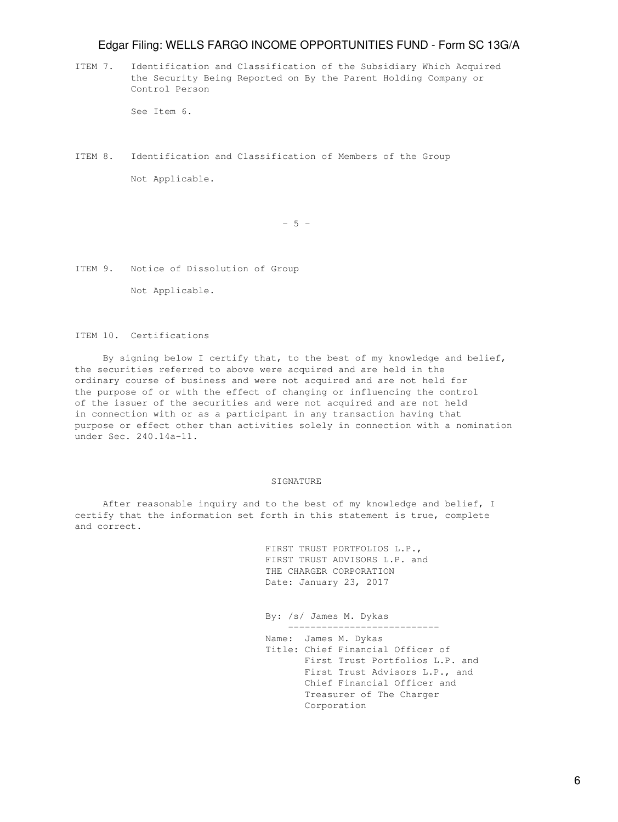ITEM 7. Identification and Classification of the Subsidiary Which Acquired the Security Being Reported on By the Parent Holding Company or Control Person

See Item 6.

ITEM 8. Identification and Classification of Members of the Group Not Applicable.

 $-5 -$ 

ITEM 9. Notice of Dissolution of Group

Not Applicable.

ITEM 10. Certifications

 By signing below I certify that, to the best of my knowledge and belief, the securities referred to above were acquired and are held in the ordinary course of business and were not acquired and are not held for the purpose of or with the effect of changing or influencing the control of the issuer of the securities and were not acquired and are not held in connection with or as a participant in any transaction having that purpose or effect other than activities solely in connection with a nomination under Sec. 240.14a-11.

#### SIGNATURE

 After reasonable inquiry and to the best of my knowledge and belief, I certify that the information set forth in this statement is true, complete and correct.

> FIRST TRUST PORTFOLIOS L.P., FIRST TRUST ADVISORS L.P. and THE CHARGER CORPORATION Date: January 23, 2017

 By: /s/ James M. Dykas --------------------------- Name: James M. Dykas Title: Chief Financial Officer of First Trust Portfolios L.P. and First Trust Advisors L.P., and Chief Financial Officer and Treasurer of The Charger Corporation